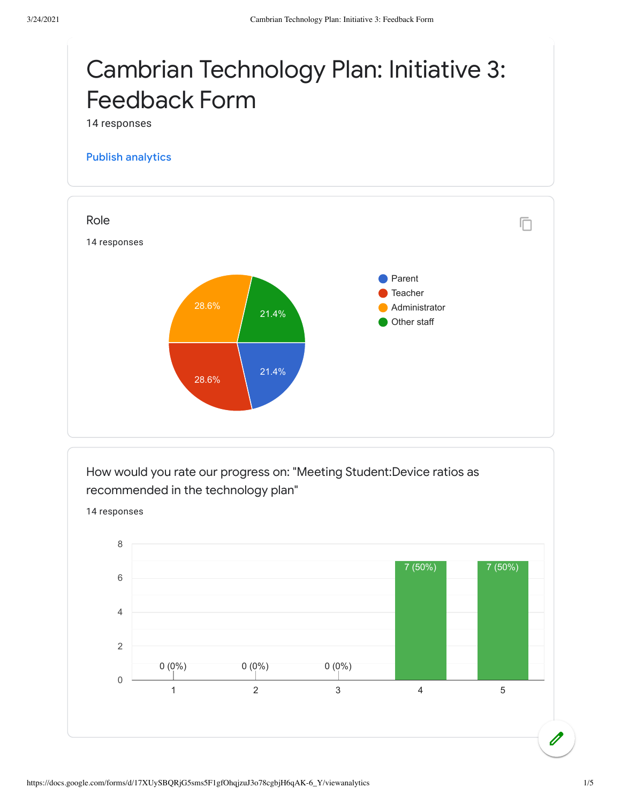## Cambrian Technology Plan: Initiative 3: Feedback Form

14 responses

## Publish [analytics](https://docs.google.com/forms/d/17XUySBQRjG5sms5F1gfOhqjzuJ3o78cgbjH6qAK-6_Y/edit?usp=redirect_edit_m2#start=publishanalytics)



How would you rate our progress on: "Meeting Student:Device ratios as recommended in the technology plan"

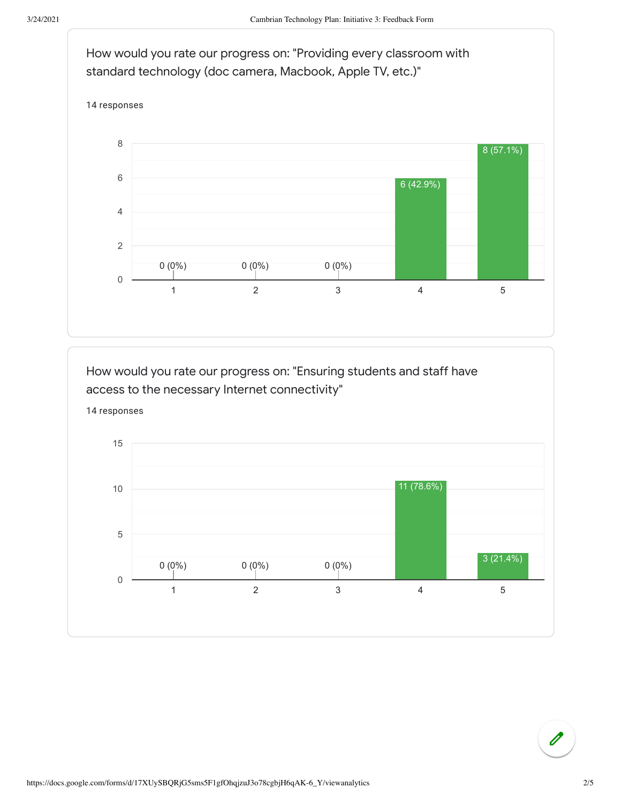

How would you rate our progress on: "Ensuring students and staff have access to the necessary Internet connectivity"



 $\mathscr{O}$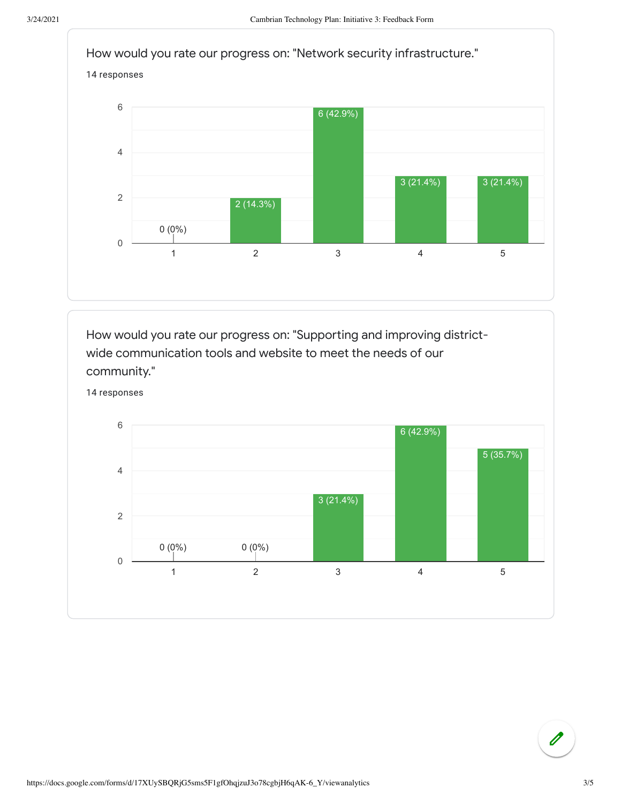

How would you rate our progress on: "Supporting and improving districtwide communication tools and website to meet the needs of our community."



 $\overline{\mathscr{O}}$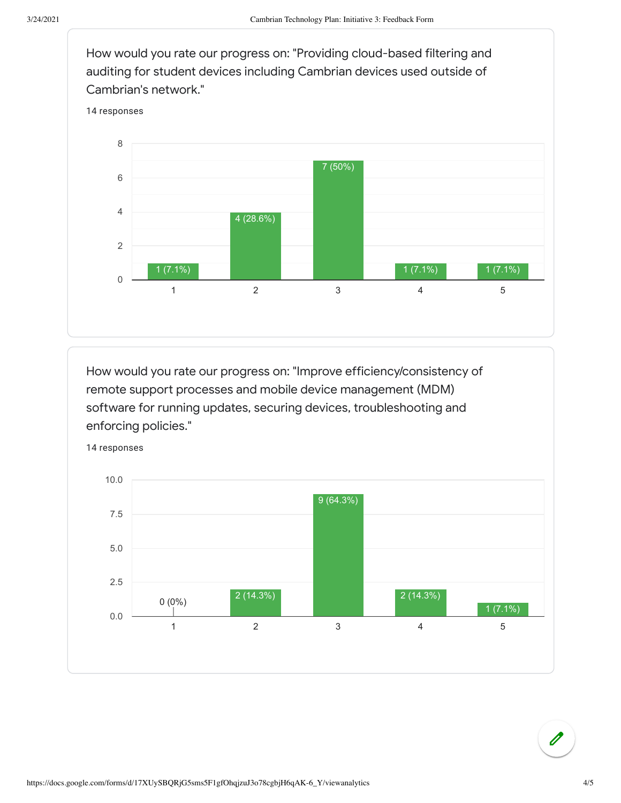How would you rate our progress on: "Providing cloud-based filtering and auditing for student devices including Cambrian devices used outside of Cambrian's network."



How would you rate our progress on: "Improve efficiency/consistency of remote support processes and mobile device management (MDM) software for running updates, securing devices, troubleshooting and enforcing policies."